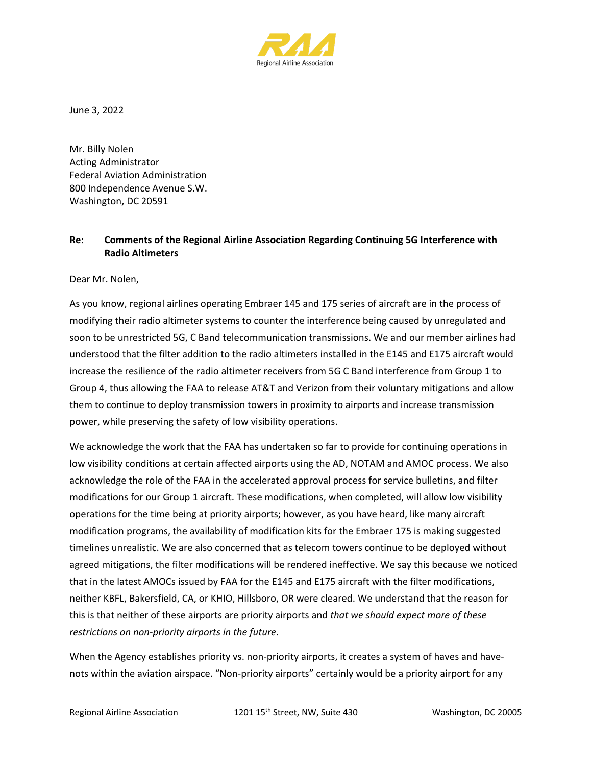

June 3, 2022

Mr. Billy Nolen Acting Administrator Federal Aviation Administration 800 Independence Avenue S.W. Washington, DC 20591

## **Re: Comments of the Regional Airline Association Regarding Continuing 5G Interference with Radio Altimeters**

Dear Mr. Nolen,

As you know, regional airlines operating Embraer 145 and 175 series of aircraft are in the process of modifying their radio altimeter systems to counter the interference being caused by unregulated and soon to be unrestricted 5G, C Band telecommunication transmissions. We and our member airlines had understood that the filter addition to the radio altimeters installed in the E145 and E175 aircraft would increase the resilience of the radio altimeter receivers from 5G C Band interference from Group 1 to Group 4, thus allowing the FAA to release AT&T and Verizon from their voluntary mitigations and allow them to continue to deploy transmission towers in proximity to airports and increase transmission power, while preserving the safety of low visibility operations.

We acknowledge the work that the FAA has undertaken so far to provide for continuing operations in low visibility conditions at certain affected airports using the AD, NOTAM and AMOC process. We also acknowledge the role of the FAA in the accelerated approval process for service bulletins, and filter modifications for our Group 1 aircraft. These modifications, when completed, will allow low visibility operations for the time being at priority airports; however, as you have heard, like many aircraft modification programs, the availability of modification kits for the Embraer 175 is making suggested timelines unrealistic. We are also concerned that as telecom towers continue to be deployed without agreed mitigations, the filter modifications will be rendered ineffective. We say this because we noticed that in the latest AMOCs issued by FAA for the E145 and E175 aircraft with the filter modifications, neither KBFL, Bakersfield, CA, or KHIO, Hillsboro, OR were cleared. We understand that the reason for this is that neither of these airports are priority airports and *that we should expect more of these restrictions on non-priority airports in the future*.

When the Agency establishes priority vs. non-priority airports, it creates a system of haves and havenots within the aviation airspace. "Non-priority airports" certainly would be a priority airport for any